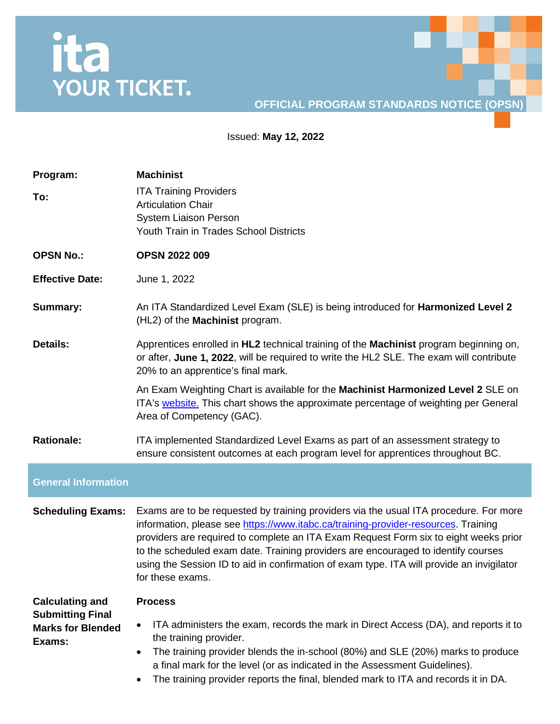## ita<br>YOUR TICKET.

## **OFFICIAL PROGRAM STANDARDS NOTICE (OPSN)**

Issued: **May 12, 2022**

| Program:<br>To:                                               | <b>Machinist</b><br><b>ITA Training Providers</b><br><b>Articulation Chair</b><br><b>System Liaison Person</b><br>Youth Train in Trades School Districts                                                                                                                                                                                                                                                                                                                  |
|---------------------------------------------------------------|---------------------------------------------------------------------------------------------------------------------------------------------------------------------------------------------------------------------------------------------------------------------------------------------------------------------------------------------------------------------------------------------------------------------------------------------------------------------------|
| <b>OPSN No.:</b>                                              | <b>OPSN 2022 009</b>                                                                                                                                                                                                                                                                                                                                                                                                                                                      |
| <b>Effective Date:</b>                                        | June 1, 2022                                                                                                                                                                                                                                                                                                                                                                                                                                                              |
| <b>Summary:</b>                                               | An ITA Standardized Level Exam (SLE) is being introduced for Harmonized Level 2<br>(HL2) of the Machinist program.                                                                                                                                                                                                                                                                                                                                                        |
| <b>Details:</b>                                               | Apprentices enrolled in HL2 technical training of the Machinist program beginning on,<br>or after, June 1, 2022, will be required to write the HL2 SLE. The exam will contribute<br>20% to an apprentice's final mark.                                                                                                                                                                                                                                                    |
|                                                               | An Exam Weighting Chart is available for the Machinist Harmonized Level 2 SLE on<br>ITA's website. This chart shows the approximate percentage of weighting per General<br>Area of Competency (GAC).                                                                                                                                                                                                                                                                      |
| <b>Rationale:</b>                                             | ITA implemented Standardized Level Exams as part of an assessment strategy to<br>ensure consistent outcomes at each program level for apprentices throughout BC.                                                                                                                                                                                                                                                                                                          |
| <b>General Information</b>                                    |                                                                                                                                                                                                                                                                                                                                                                                                                                                                           |
| <b>Scheduling Exams:</b>                                      | Exams are to be requested by training providers via the usual ITA procedure. For more<br>information, please see https://www.itabc.ca/training-provider-resources. Training<br>providers are required to complete an ITA Exam Request Form six to eight weeks prior<br>to the scheduled exam date. Training providers are encouraged to identify courses<br>using the Session ID to aid in confirmation of exam type. ITA will provide an invigilator<br>for these exams. |
| <b>Calculating and</b>                                        | <b>Process</b>                                                                                                                                                                                                                                                                                                                                                                                                                                                            |
| <b>Submitting Final</b><br><b>Marks for Blended</b><br>Exams: | ITA administers the exam, records the mark in Direct Access (DA), and reports it to<br>the training provider.<br>The training provider blends the in-school (80%) and SLE (20%) marks to produce<br>$\bullet$<br>a final mark for the level (or as indicated in the Assessment Guidelines).<br>The training provider reports the final, blended mark to ITA and records it in DA.                                                                                         |